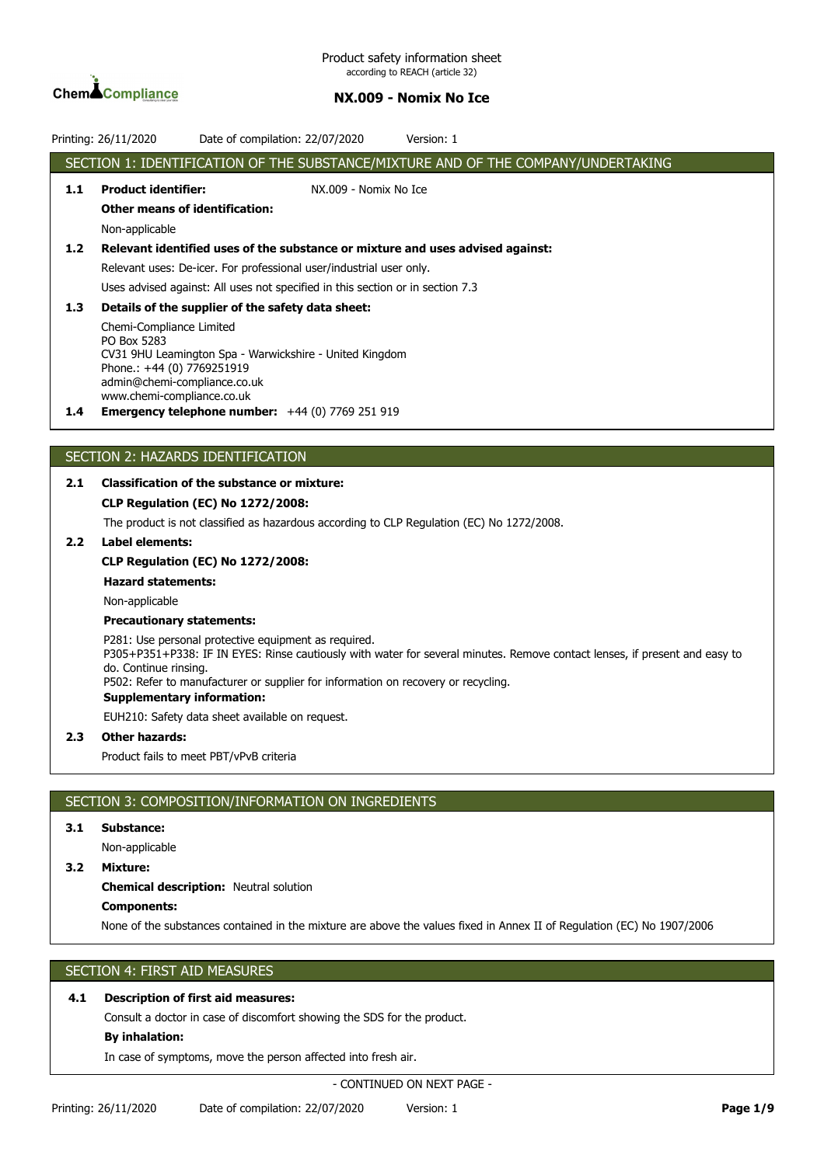

Product safety information sheet according to REACH (article 32)

## **NX.009 - Nomix No Ice**

|                  | Version: 1<br>Printing: 26/11/2020<br>Date of compilation: 22/07/2020                                                                                                                                                                                                                                                                 |
|------------------|---------------------------------------------------------------------------------------------------------------------------------------------------------------------------------------------------------------------------------------------------------------------------------------------------------------------------------------|
|                  | SECTION 1: IDENTIFICATION OF THE SUBSTANCE/MIXTURE AND OF THE COMPANY/UNDERTAKING                                                                                                                                                                                                                                                     |
| 1.1              | <b>Product identifier:</b><br>NX.009 - Nomix No Ice                                                                                                                                                                                                                                                                                   |
|                  | <b>Other means of identification:</b>                                                                                                                                                                                                                                                                                                 |
|                  | Non-applicable                                                                                                                                                                                                                                                                                                                        |
| 1.2              | Relevant identified uses of the substance or mixture and uses advised against:                                                                                                                                                                                                                                                        |
|                  | Relevant uses: De-icer. For professional user/industrial user only.                                                                                                                                                                                                                                                                   |
|                  | Uses advised against: All uses not specified in this section or in section 7.3                                                                                                                                                                                                                                                        |
| 1.3              | Details of the supplier of the safety data sheet:                                                                                                                                                                                                                                                                                     |
|                  | Chemi-Compliance Limited<br>PO Box 5283<br>CV31 9HU Leamington Spa - Warwickshire - United Kingdom<br>Phone.: +44 (0) 7769251919<br>admin@chemi-compliance.co.uk<br>www.chemi-compliance.co.uk                                                                                                                                        |
| $1.4^{\circ}$    | <b>Emergency telephone number:</b> $+44$ (0) 7769 251 919                                                                                                                                                                                                                                                                             |
|                  |                                                                                                                                                                                                                                                                                                                                       |
|                  | SECTION 2: HAZARDS IDENTIFICATION                                                                                                                                                                                                                                                                                                     |
| 2.1              | <b>Classification of the substance or mixture:</b>                                                                                                                                                                                                                                                                                    |
|                  | CLP Regulation (EC) No 1272/2008:                                                                                                                                                                                                                                                                                                     |
|                  | The product is not classified as hazardous according to CLP Regulation (EC) No 1272/2008.                                                                                                                                                                                                                                             |
| 2.2 <sub>2</sub> | Label elements:                                                                                                                                                                                                                                                                                                                       |
|                  | <b>CLP Regulation (EC) No 1272/2008:</b>                                                                                                                                                                                                                                                                                              |
|                  | <b>Hazard statements:</b>                                                                                                                                                                                                                                                                                                             |
|                  | Non-applicable                                                                                                                                                                                                                                                                                                                        |
|                  | <b>Precautionary statements:</b>                                                                                                                                                                                                                                                                                                      |
|                  | P281: Use personal protective equipment as required.<br>P305+P351+P338: IF IN EYES: Rinse cautiously with water for several minutes. Remove contact lenses, if present and easy to<br>do. Continue rinsing.<br>P502: Refer to manufacturer or supplier for information on recovery or recycling.<br><b>Supplementary information:</b> |
|                  | EUH210: Safety data sheet available on request.                                                                                                                                                                                                                                                                                       |
| 2.3              | <b>Other hazards:</b>                                                                                                                                                                                                                                                                                                                 |
|                  | Product fails to meet PBT/vPvB criteria                                                                                                                                                                                                                                                                                               |
|                  |                                                                                                                                                                                                                                                                                                                                       |
|                  | SECTION 3: COMPOSITION/INFORMATION ON INGREDIENTS                                                                                                                                                                                                                                                                                     |
| 3.1              | Substance:                                                                                                                                                                                                                                                                                                                            |
|                  | Non-applicable                                                                                                                                                                                                                                                                                                                        |
| 3.2 <sub>2</sub> | Mixture:                                                                                                                                                                                                                                                                                                                              |
|                  | <b>Chemical description: Neutral solution</b>                                                                                                                                                                                                                                                                                         |
|                  | <b>Components:</b>                                                                                                                                                                                                                                                                                                                    |
|                  | None of the substances contained in the mixture are above the values fixed in Annex II of Regulation (EC) No 1907/2006                                                                                                                                                                                                                |

# SECTION 4: FIRST AID MEASURES

# **4.1 Description of first aid measures:**

Consult a doctor in case of discomfort showing the SDS for the product.

# **By inhalation:**

In case of symptoms, move the person affected into fresh air.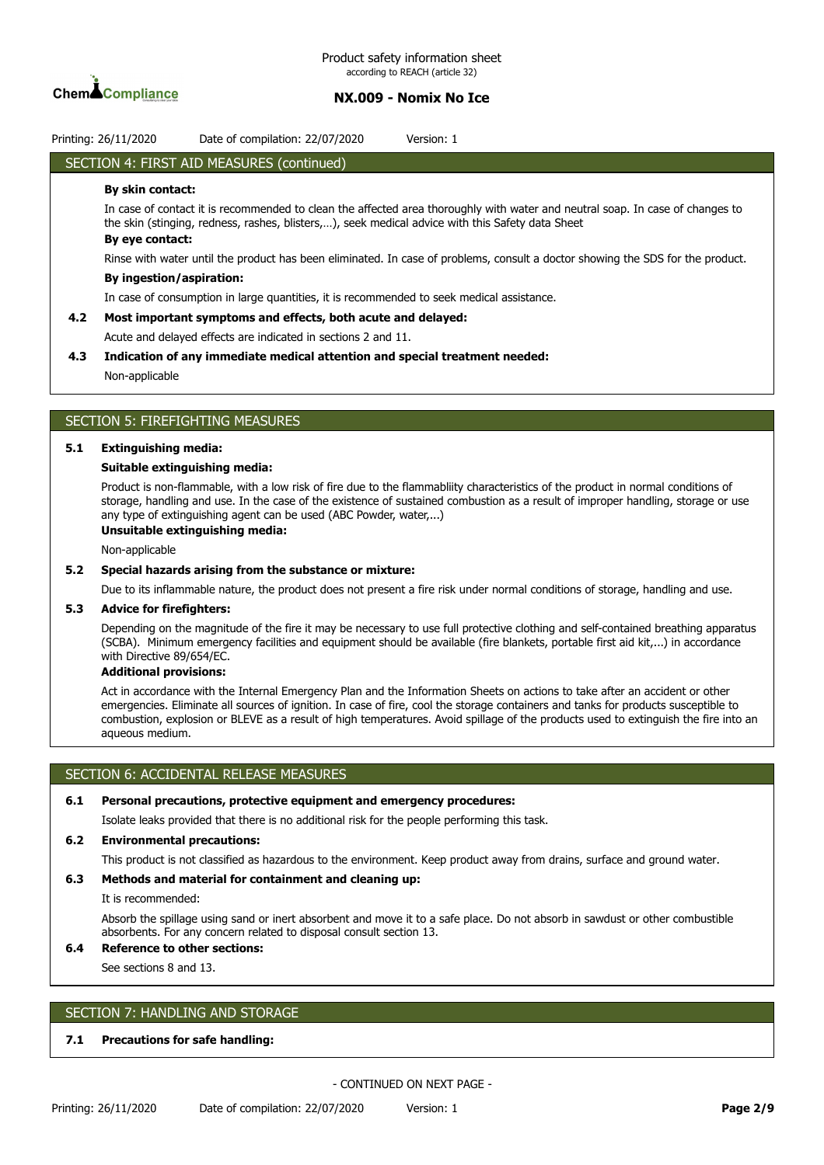

Printing: 26/11/2020 Date of compilation: 22/07/2020 Version: 1

# SECTION 4: FIRST AID MEASURES (continued)

#### **By skin contact:**

In case of contact it is recommended to clean the affected area thoroughly with water and neutral soap. In case of changes to the skin (stinging, redness, rashes, blisters,…), seek medical advice with this Safety data Sheet **By eye contact:**

Rinse with water until the product has been eliminated. In case of problems, consult a doctor showing the SDS for the product.

#### **By ingestion/aspiration:**

In case of consumption in large quantities, it is recommended to seek medical assistance.

#### **4.2 Most important symptoms and effects, both acute and delayed:**

Acute and delayed effects are indicated in sections 2 and 11.

### **4.3 Indication of any immediate medical attention and special treatment needed:**

Non-applicable

# SECTION 5: FIREFIGHTING MEASURES

### **5.1 Extinguishing media:**

#### **Suitable extinguishing media:**

Product is non-flammable, with a low risk of fire due to the flammabliity characteristics of the product in normal conditions of storage, handling and use. In the case of the existence of sustained combustion as a result of improper handling, storage or use any type of extinguishing agent can be used (ABC Powder, water,...)

## **Unsuitable extinguishing media:**

Non-applicable

#### **5.2 Special hazards arising from the substance or mixture:**

Due to its inflammable nature, the product does not present a fire risk under normal conditions of storage, handling and use.

#### **5.3 Advice for firefighters:**

Depending on the magnitude of the fire it may be necessary to use full protective clothing and self-contained breathing apparatus (SCBA). Minimum emergency facilities and equipment should be available (fire blankets, portable first aid kit,...) in accordance with Directive 89/654/EC.

### **Additional provisions:**

Act in accordance with the Internal Emergency Plan and the Information Sheets on actions to take after an accident or other emergencies. Eliminate all sources of ignition. In case of fire, cool the storage containers and tanks for products susceptible to combustion, explosion or BLEVE as a result of high temperatures. Avoid spillage of the products used to extinguish the fire into an aqueous medium.

## SECTION 6: ACCIDENTAL RELEASE MEASURES

#### **6.1 Personal precautions, protective equipment and emergency procedures:**

Isolate leaks provided that there is no additional risk for the people performing this task.

### **6.2 Environmental precautions:**

This product is not classified as hazardous to the environment. Keep product away from drains, surface and ground water.

#### **6.3 Methods and material for containment and cleaning up:**

It is recommended:

Absorb the spillage using sand or inert absorbent and move it to a safe place. Do not absorb in sawdust or other combustible absorbents. For any concern related to disposal consult section 13.

# **6.4 Reference to other sections:**

See sections 8 and 13.

### SECTION 7: HANDLING AND STORAGE

### **7.1 Precautions for safe handling:**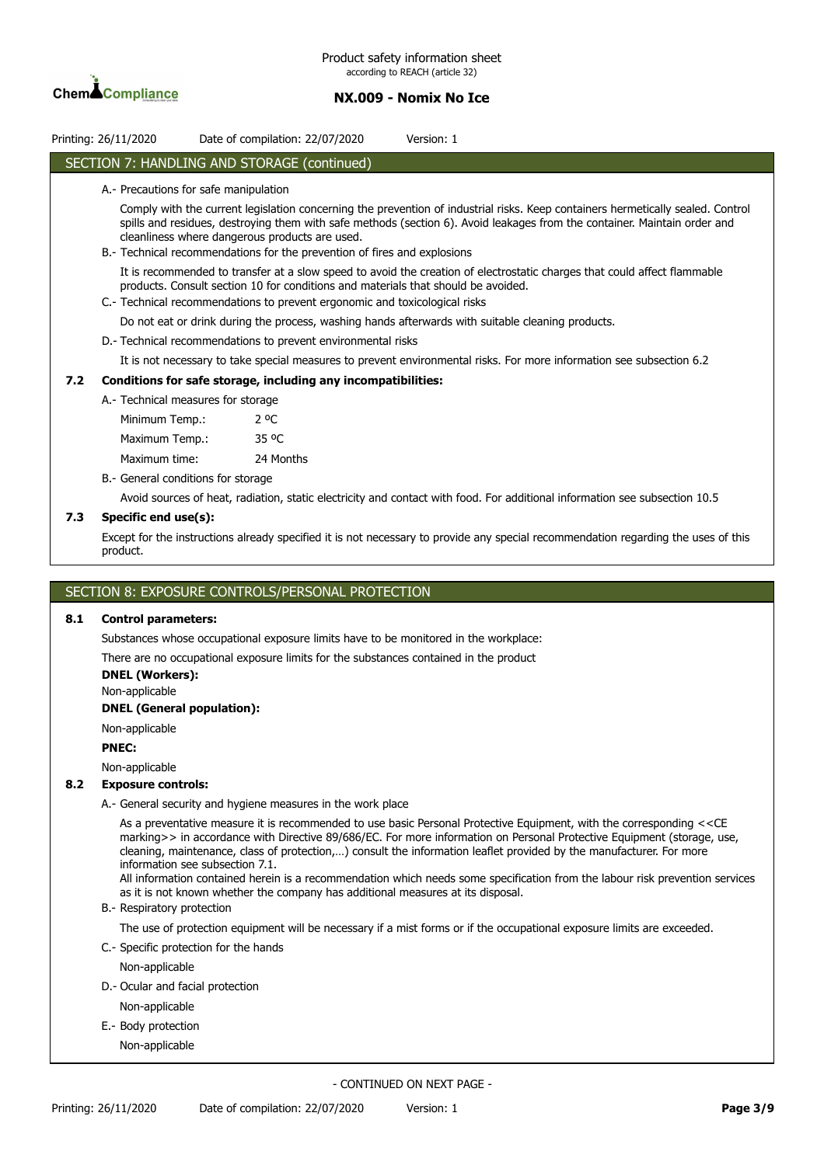

|     | Printing: 26/11/2020                                                                                                                                                                                                                                                                                                                                                                       |               | Date of compilation: 22/07/2020                                                                                                                                 | Version: 1                                                                                                                         |  |  |  |
|-----|--------------------------------------------------------------------------------------------------------------------------------------------------------------------------------------------------------------------------------------------------------------------------------------------------------------------------------------------------------------------------------------------|---------------|-----------------------------------------------------------------------------------------------------------------------------------------------------------------|------------------------------------------------------------------------------------------------------------------------------------|--|--|--|
|     |                                                                                                                                                                                                                                                                                                                                                                                            |               | SECTION 7: HANDLING AND STORAGE (continued)                                                                                                                     |                                                                                                                                    |  |  |  |
|     | A.- Precautions for safe manipulation                                                                                                                                                                                                                                                                                                                                                      |               |                                                                                                                                                                 |                                                                                                                                    |  |  |  |
|     | Comply with the current legislation concerning the prevention of industrial risks. Keep containers hermetically sealed. Control<br>spills and residues, destroying them with safe methods (section 6). Avoid leakages from the container. Maintain order and<br>cleanliness where dangerous products are used.<br>B.- Technical recommendations for the prevention of fires and explosions |               |                                                                                                                                                                 |                                                                                                                                    |  |  |  |
|     |                                                                                                                                                                                                                                                                                                                                                                                            |               | products. Consult section 10 for conditions and materials that should be avoided.<br>C.- Technical recommendations to prevent ergonomic and toxicological risks | It is recommended to transfer at a slow speed to avoid the creation of electrostatic charges that could affect flammable           |  |  |  |
|     |                                                                                                                                                                                                                                                                                                                                                                                            |               |                                                                                                                                                                 | Do not eat or drink during the process, washing hands afterwards with suitable cleaning products.                                  |  |  |  |
|     | D. Technical recommendations to prevent environmental risks                                                                                                                                                                                                                                                                                                                                |               |                                                                                                                                                                 |                                                                                                                                    |  |  |  |
|     |                                                                                                                                                                                                                                                                                                                                                                                            |               |                                                                                                                                                                 | It is not necessary to take special measures to prevent environmental risks. For more information see subsection 6.2               |  |  |  |
| 7.2 |                                                                                                                                                                                                                                                                                                                                                                                            |               | Conditions for safe storage, including any incompatibilities:                                                                                                   |                                                                                                                                    |  |  |  |
|     | A. Technical measures for storage                                                                                                                                                                                                                                                                                                                                                          |               |                                                                                                                                                                 |                                                                                                                                    |  |  |  |
|     | Minimum Temp.:                                                                                                                                                                                                                                                                                                                                                                             | $2^{\circ}$ C |                                                                                                                                                                 |                                                                                                                                    |  |  |  |
|     | Maximum Temp.:                                                                                                                                                                                                                                                                                                                                                                             | 35 °C         |                                                                                                                                                                 |                                                                                                                                    |  |  |  |
|     | Maximum time:                                                                                                                                                                                                                                                                                                                                                                              |               | 24 Months                                                                                                                                                       |                                                                                                                                    |  |  |  |
|     | B.- General conditions for storage                                                                                                                                                                                                                                                                                                                                                         |               |                                                                                                                                                                 |                                                                                                                                    |  |  |  |
|     |                                                                                                                                                                                                                                                                                                                                                                                            |               |                                                                                                                                                                 | Avoid sources of heat, radiation, static electricity and contact with food. For additional information see subsection 10.5         |  |  |  |
| 7.3 | Specific end use(s):                                                                                                                                                                                                                                                                                                                                                                       |               |                                                                                                                                                                 |                                                                                                                                    |  |  |  |
|     | product.                                                                                                                                                                                                                                                                                                                                                                                   |               |                                                                                                                                                                 | Except for the instructions already specified it is not necessary to provide any special recommendation regarding the uses of this |  |  |  |

### SECTION 8: EXPOSURE CONTROLS/PERSONAL PROTECTION

### **8.1 Control parameters:**

Substances whose occupational exposure limits have to be monitored in the workplace:

There are no occupational exposure limits for the substances contained in the product

**DNEL (Workers):**

Non-applicable

#### **DNEL (General population):**

Non-applicable

#### **PNEC:**

Non-applicable

### **8.2 Exposure controls:**

A.- General security and hygiene measures in the work place

As a preventative measure it is recommended to use basic Personal Protective Equipment, with the corresponding <<CE marking>> in accordance with Directive 89/686/EC. For more information on Personal Protective Equipment (storage, use, cleaning, maintenance, class of protection,…) consult the information leaflet provided by the manufacturer. For more information see subsection 7.1.

All information contained herein is a recommendation which needs some specification from the labour risk prevention services as it is not known whether the company has additional measures at its disposal.

#### B.- Respiratory protection

The use of protection equipment will be necessary if a mist forms or if the occupational exposure limits are exceeded.

- C.- Specific protection for the hands
- Non-applicable
- D.- Ocular and facial protection

Non-applicable

E.- Body protection

Non-applicable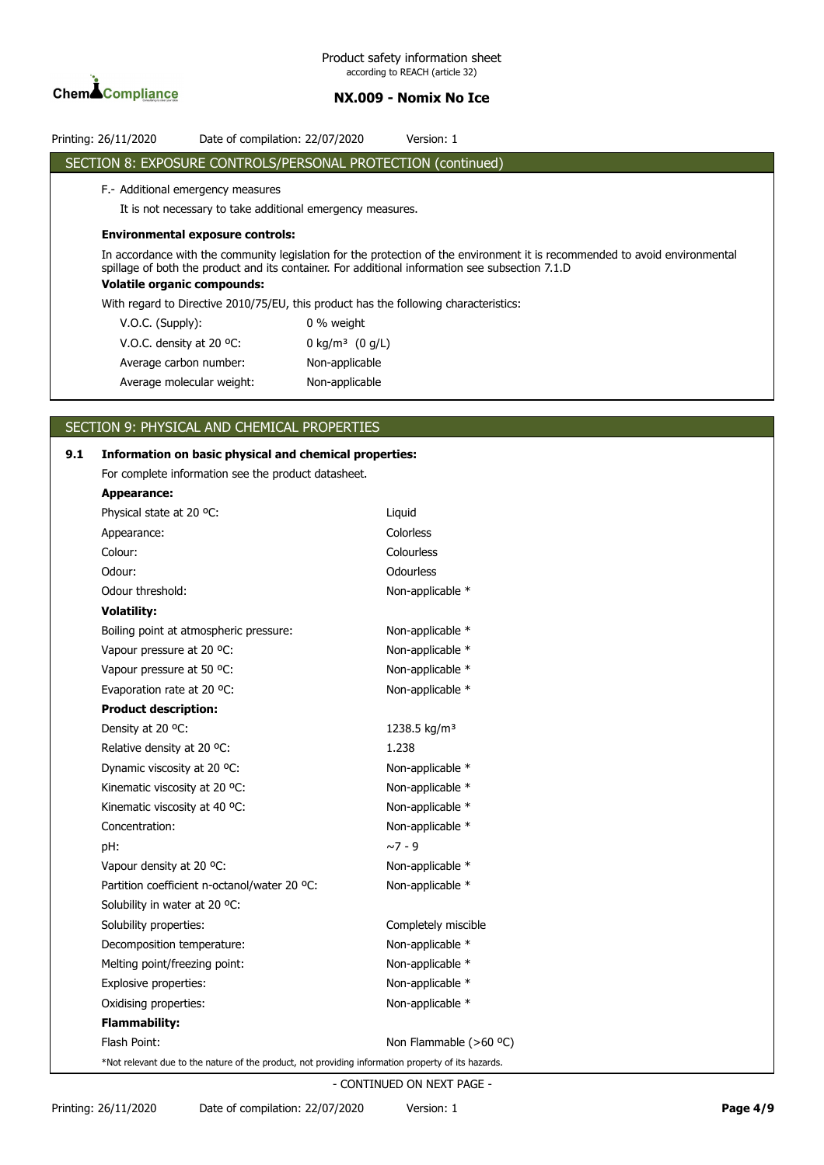

# SECTION 8: EXPOSURE CONTROLS/PERSONAL PROTECTION (continued) F.- Additional emergency measures It is not necessary to take additional emergency measures. **Environmental exposure controls:** In accordance with the community legislation for the protection of the environment it is recommended to avoid environmental spillage of both the product and its container. For additional information see subsection 7.1.D **Volatile organic compounds:** With regard to Directive 2010/75/EU, this product has the following characteristics: V.O.C. (Supply): 0 % weight V.O.C. density at 20 °C: 0 kg/m<sup>3</sup> (0 g/L) Average carbon number: Non-applicable Average molecular weight: Non-applicable

# SECTION 9: PHYSICAL AND CHEMICAL PROPERTIES

# **9.1 Information on basic physical and chemical properties:** For complete information see the product datasheet. **Appearance:** Physical state at 20 °C: Liquid Appearance: Colorless Colour: Colourless Odour: Communication of the Communication of the Communication of the Communication of the Communication of the Communication of the Communication of the Communication of the Communication of the Communication of the Commu Odour threshold: Non-applicable \* **Volatility:** Boiling point at atmospheric pressure: Non-applicable \* Vapour pressure at 20 °C: Non-applicable \* Vapour pressure at 50 °C: Non-applicable \* Evaporation rate at 20 °C: Non-applicable \* **Product description:** Density at 20 °C:  $1238.5 \text{ kg/m}^3$ Relative density at 20 °C: 1.238 Dynamic viscosity at 20 °C: Non-applicable \* Kinematic viscosity at 20 °C: Non-applicable \* Kinematic viscosity at 40 °C: Non-applicable \* Concentration: Non-applicable \* pH: ~7 - 9 Vapour density at 20 °C: Non-applicable \* Partition coefficient n-octanol/water 20 °C: Non-applicable \* Solubility in water at 20 °C: Solubility properties: Completely miscible Decomposition temperature: Non-applicable \* Melting point/freezing point: Non-applicable \* Explosive properties: Non-applicable \* Oxidising properties: Non-applicable \* **Flammability:** Flash Point: Non Flammable (>60 °C) \*Not relevant due to the nature of the product, not providing information property of its hazards.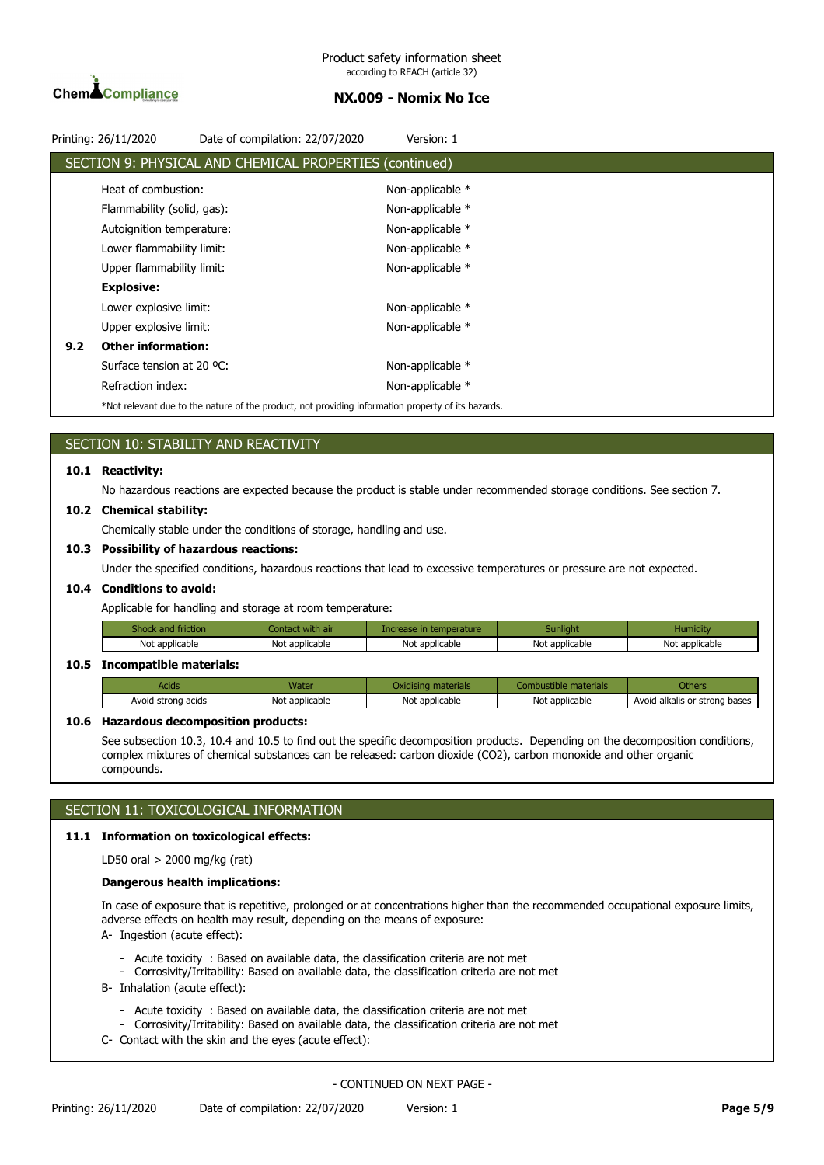

|     | Printing: 26/11/2020       | Date of compilation: 22/07/2020                                                                    | Version: 1       |  |
|-----|----------------------------|----------------------------------------------------------------------------------------------------|------------------|--|
|     |                            | SECTION 9: PHYSICAL AND CHEMICAL PROPERTIES (continued)                                            |                  |  |
|     | Heat of combustion:        |                                                                                                    | Non-applicable * |  |
|     | Flammability (solid, gas): |                                                                                                    | Non-applicable * |  |
|     | Autoignition temperature:  |                                                                                                    | Non-applicable * |  |
|     | Lower flammability limit:  |                                                                                                    | Non-applicable * |  |
|     | Upper flammability limit:  |                                                                                                    | Non-applicable * |  |
|     | <b>Explosive:</b>          |                                                                                                    |                  |  |
|     | Lower explosive limit:     |                                                                                                    | Non-applicable * |  |
|     | Upper explosive limit:     |                                                                                                    | Non-applicable * |  |
| 9.2 | <b>Other information:</b>  |                                                                                                    |                  |  |
|     | Surface tension at 20 °C:  |                                                                                                    | Non-applicable * |  |
|     | Refraction index:          |                                                                                                    | Non-applicable * |  |
|     |                            | *Not relevant due to the nature of the product, not providing information property of its hazards. |                  |  |

## SECTION 10: STABILITY AND REACTIVITY

#### **10.1 Reactivity:**

No hazardous reactions are expected because the product is stable under recommended storage conditions. See section 7.

#### **10.2 Chemical stability:**

Chemically stable under the conditions of storage, handling and use.

#### **10.3 Possibility of hazardous reactions:**

Under the specified conditions, hazardous reactions that lead to excessive temperatures or pressure are not expected.

#### **10.4 Conditions to avoid:**

Applicable for handling and storage at room temperature:

| friction       | n air          | rature:                     | Sunlight       | Humidit        |
|----------------|----------------|-----------------------------|----------------|----------------|
| Not applicable | Not applicable | $\cdot$ .<br>Not applicable | Not applicable | Not applicable |

#### **10.5 Incompatible materials:**

| Acids              |                | וגע                 |                |                                    |
|--------------------|----------------|---------------------|----------------|------------------------------------|
| Avoid strong acids | Not applicable | Not<br>t applicable | Not applicable | d alkalis or strong bases<br>Avoid |

### **10.6 Hazardous decomposition products:**

See subsection 10.3, 10.4 and 10.5 to find out the specific decomposition products. Depending on the decomposition conditions, complex mixtures of chemical substances can be released: carbon dioxide (CO2), carbon monoxide and other organic compounds.

### SECTION 11: TOXICOLOGICAL INFORMATION

#### **11.1 Information on toxicological effects:**

LD50 oral > 2000 mg/kg (rat)

### **Dangerous health implications:**

In case of exposure that is repetitive, prolonged or at concentrations higher than the recommended occupational exposure limits, adverse effects on health may result, depending on the means of exposure:

A- Ingestion (acute effect):

- Acute toxicity : Based on available data, the classification criteria are not met
- Corrosivity/Irritability: Based on available data, the classification criteria are not met
- B- Inhalation (acute effect):
	- Acute toxicity : Based on available data, the classification criteria are not met
	- Corrosivity/Irritability: Based on available data, the classification criteria are not met
- C- Contact with the skin and the eyes (acute effect):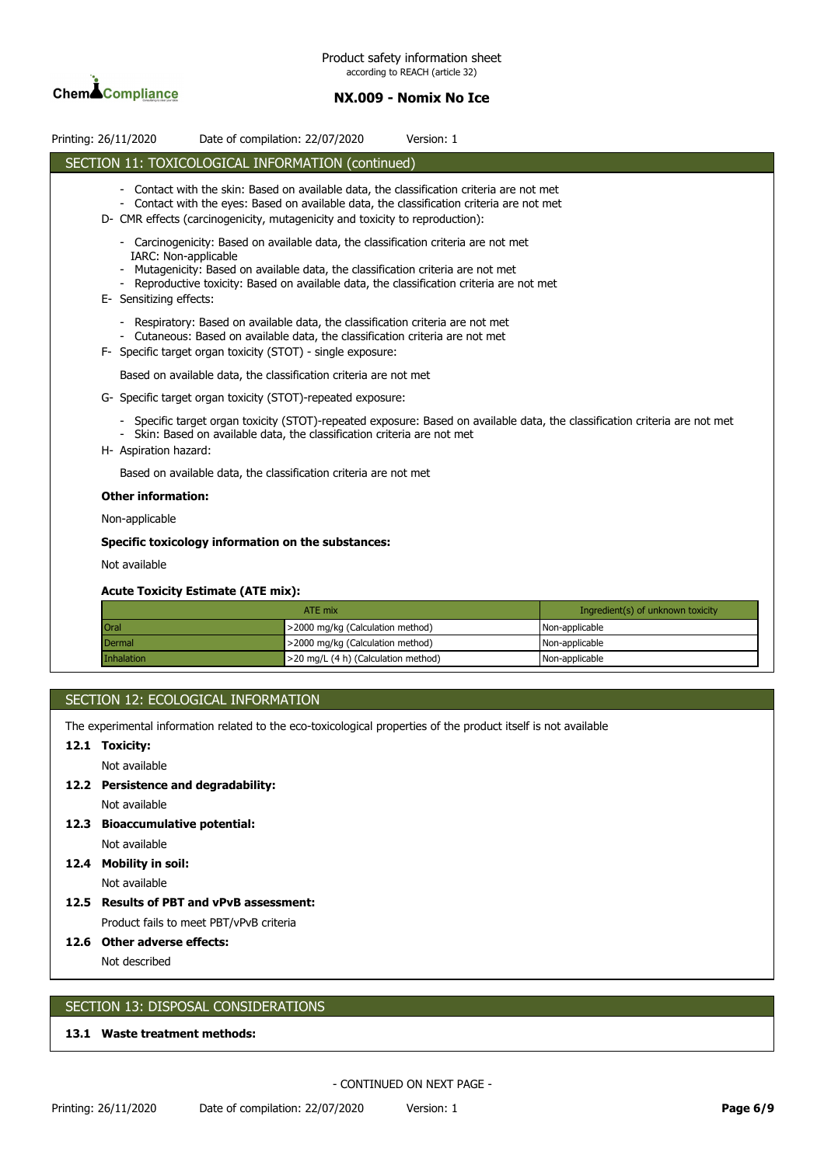

| Printing: 26/11/2020 |                                                                                                                                                                                                                                                                                                                   | Date of compilation: 22/07/2020  | Version: 1 |                                   |  |  |
|----------------------|-------------------------------------------------------------------------------------------------------------------------------------------------------------------------------------------------------------------------------------------------------------------------------------------------------------------|----------------------------------|------------|-----------------------------------|--|--|
|                      | SECTION 11: TOXICOLOGICAL INFORMATION (continued)                                                                                                                                                                                                                                                                 |                                  |            |                                   |  |  |
|                      | Contact with the skin: Based on available data, the classification criteria are not met<br>Contact with the eyes: Based on available data, the classification criteria are not met<br>D- CMR effects (carcinogenicity, mutagenicity and toxicity to reproduction):                                                |                                  |            |                                   |  |  |
|                      | Carcinogenicity: Based on available data, the classification criteria are not met<br>IARC: Non-applicable<br>Mutagenicity: Based on available data, the classification criteria are not met<br>Reproductive toxicity: Based on available data, the classification criteria are not met<br>E- Sensitizing effects: |                                  |            |                                   |  |  |
|                      | Respiratory: Based on available data, the classification criteria are not met<br>- Cutaneous: Based on available data, the classification criteria are not met<br>F- Specific target organ toxicity (STOT) - single exposure:                                                                                     |                                  |            |                                   |  |  |
|                      | Based on available data, the classification criteria are not met                                                                                                                                                                                                                                                  |                                  |            |                                   |  |  |
|                      | G- Specific target organ toxicity (STOT)-repeated exposure:                                                                                                                                                                                                                                                       |                                  |            |                                   |  |  |
|                      | Specific target organ toxicity (STOT)-repeated exposure: Based on available data, the classification criteria are not met<br>- Skin: Based on available data, the classification criteria are not met<br>H- Aspiration hazard:                                                                                    |                                  |            |                                   |  |  |
|                      | Based on available data, the classification criteria are not met                                                                                                                                                                                                                                                  |                                  |            |                                   |  |  |
|                      | <b>Other information:</b>                                                                                                                                                                                                                                                                                         |                                  |            |                                   |  |  |
|                      | Non-applicable                                                                                                                                                                                                                                                                                                    |                                  |            |                                   |  |  |
|                      | Specific toxicology information on the substances:                                                                                                                                                                                                                                                                |                                  |            |                                   |  |  |
|                      | Not available                                                                                                                                                                                                                                                                                                     |                                  |            |                                   |  |  |
|                      | <b>Acute Toxicity Estimate (ATE mix):</b>                                                                                                                                                                                                                                                                         |                                  |            |                                   |  |  |
|                      |                                                                                                                                                                                                                                                                                                                   | ATE mix                          |            | Ingredient(s) of unknown toxicity |  |  |
| Oral                 |                                                                                                                                                                                                                                                                                                                   | >2000 mg/kg (Calculation method) |            | Non-applicable                    |  |  |
|                      | Dermal                                                                                                                                                                                                                                                                                                            | >2000 mg/kg (Calculation method) |            | Non-applicable                    |  |  |

|  | SECTION 12: ECOLOGICAL INFORMATION |
|--|------------------------------------|
|  |                                    |

The experimental information related to the eco-toxicological properties of the product itself is not available

Inhalation **Intervention Community** 20 mg/L (4 h) (Calculation method) **Non-applicable** 

### **12.1 Toxicity:**

Not available

- **12.2 Persistence and degradability:** Not available
- **12.3 Bioaccumulative potential:**
	- Not available
- **12.4 Mobility in soil:** Not available
- **12.5 Results of PBT and vPvB assessment:** Product fails to meet PBT/vPvB criteria

**12.6 Other adverse effects:**

Not described

## SECTION 13: DISPOSAL CONSIDERATIONS

### **13.1 Waste treatment methods:**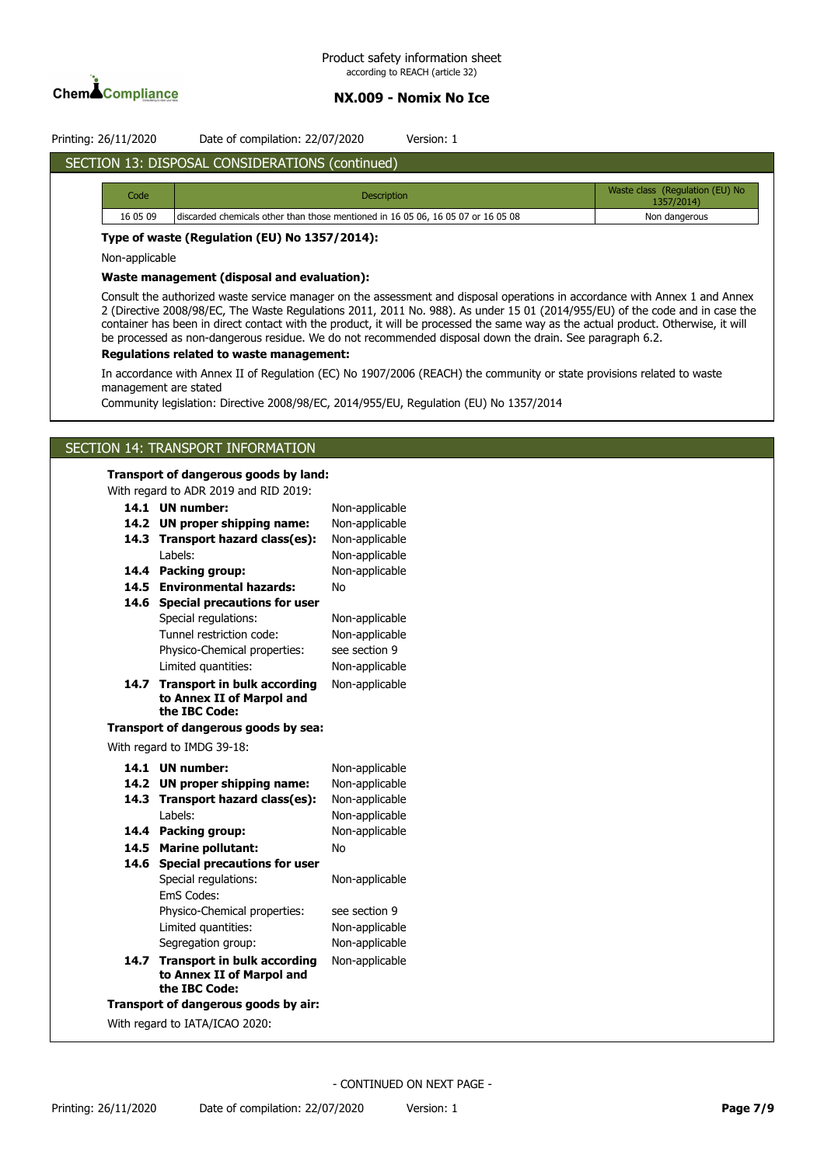

# Printing: 26/11/2020 Date of compilation: 22/07/2020 Version: 1

# SECTION 13: DISPOSAL CONSIDERATIONS (continued)

| Code     | <b>Description</b>                                                               | Waste class (Regulation (EU) No<br>1357/2014) |
|----------|----------------------------------------------------------------------------------|-----------------------------------------------|
| 16 05 09 | discarded chemicals other than those mentioned in 16 05 06, 16 05 07 or 16 05 08 | Non dangerous                                 |

### **Type of waste (Regulation (EU) No 1357/2014):**

Non-applicable

#### **Waste management (disposal and evaluation):**

Consult the authorized waste service manager on the assessment and disposal operations in accordance with Annex 1 and Annex 2 (Directive 2008/98/EC, The Waste Regulations 2011, 2011 No. 988). As under 15 01 (2014/955/EU) of the code and in case the container has been in direct contact with the product, it will be processed the same way as the actual product. Otherwise, it will be processed as non-dangerous residue. We do not recommended disposal down the drain. See paragraph 6.2.

### **Regulations related to waste management:**

In accordance with Annex II of Regulation (EC) No 1907/2006 (REACH) the community or state provisions related to waste management are stated

Community legislation: Directive 2008/98/EC, 2014/955/EU, Regulation (EU) No 1357/2014

### SECTION 14: TRANSPORT INFORMATION

#### **Transport of dangerous goods by land:**

With regard to ADR 2019 and RID 2019:

| 14.1                           | <b>UN number:</b>                    | Non-applicable |  |  |
|--------------------------------|--------------------------------------|----------------|--|--|
| 14.2                           | <b>UN proper shipping name:</b>      | Non-applicable |  |  |
| 14.3                           | Transport hazard class(es):          | Non-applicable |  |  |
|                                | I abels:                             | Non-applicable |  |  |
| 14.4                           | Packing group:                       | Non-applicable |  |  |
| 14.5                           | <b>Environmental hazards:</b>        | No             |  |  |
| 14.6                           | <b>Special precautions for user</b>  |                |  |  |
|                                | Special regulations:                 | Non-applicable |  |  |
|                                | Tunnel restriction code:             | Non-applicable |  |  |
|                                | Physico-Chemical properties:         | see section 9  |  |  |
|                                | Limited quantities:                  | Non-applicable |  |  |
| 14.7                           | <b>Transport in bulk according</b>   | Non-applicable |  |  |
|                                | to Annex II of Marpol and            |                |  |  |
|                                | the IBC Code:                        |                |  |  |
|                                | Transport of dangerous goods by sea: |                |  |  |
|                                | With regard to IMDG 39-18:           |                |  |  |
| 14.1                           | <b>UN</b> number:                    | Non-applicable |  |  |
| 14.2                           | <b>UN proper shipping name:</b>      | Non-applicable |  |  |
| 14.3                           | Transport hazard class(es):          | Non-applicable |  |  |
|                                | I abels:                             | Non-applicable |  |  |
| 14.4                           | Packing group:                       | Non-applicable |  |  |
| 14.5                           | <b>Marine pollutant:</b>             | <b>No</b>      |  |  |
| 14.6                           | <b>Special precautions for user</b>  |                |  |  |
|                                | Special regulations:                 | Non-applicable |  |  |
|                                | EmS Codes:                           |                |  |  |
|                                | Physico-Chemical properties:         | see section 9  |  |  |
|                                | Limited quantities:                  | Non-applicable |  |  |
|                                | Segregation group:                   | Non-applicable |  |  |
| 14.7                           | <b>Transport in bulk according</b>   | Non-applicable |  |  |
|                                | to Annex II of Marpol and            |                |  |  |
|                                | the IBC Code:                        |                |  |  |
|                                | Transport of dangerous goods by air: |                |  |  |
| With regard to IATA/ICAO 2020: |                                      |                |  |  |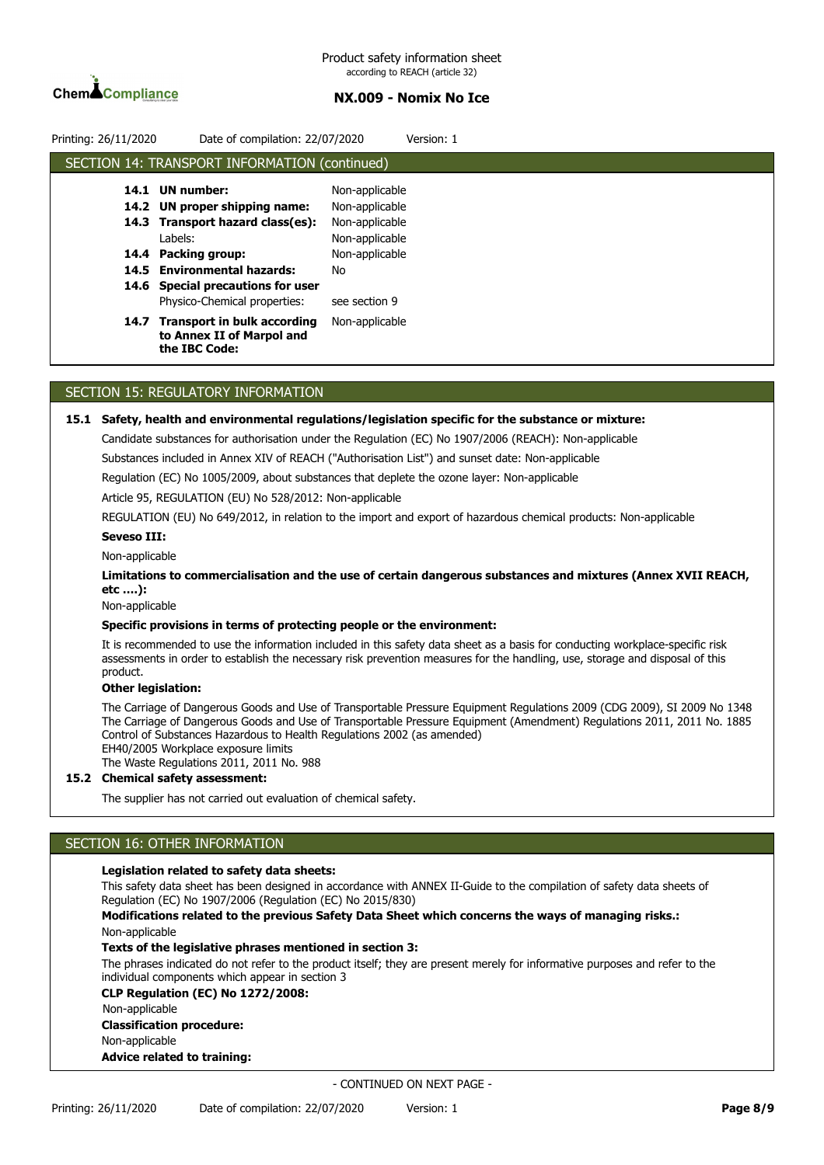

| Printing: 26/11/2020 | Date of compilation: 22/07/2020                                                  |                | Version: 1 |
|----------------------|----------------------------------------------------------------------------------|----------------|------------|
|                      | SECTION 14: TRANSPORT INFORMATION (continued)                                    |                |            |
| 14.1                 | <b>UN</b> number:                                                                | Non-applicable |            |
|                      | 14.2 UN proper shipping name:                                                    | Non-applicable |            |
|                      | 14.3 Transport hazard class(es):                                                 | Non-applicable |            |
|                      | Labels:                                                                          | Non-applicable |            |
|                      | 14.4 Packing group:                                                              | Non-applicable |            |
|                      | 14.5 Environmental hazards:                                                      | No             |            |
|                      | 14.6 Special precautions for user                                                |                |            |
|                      | Physico-Chemical properties:                                                     | see section 9  |            |
| 14.7                 | <b>Transport in bulk according</b><br>to Annex II of Marpol and<br>the IBC Code: | Non-applicable |            |

### SECTION 15: REGULATORY INFORMATION

#### **15.1 Safety, health and environmental regulations/legislation specific for the substance or mixture:**

Candidate substances for authorisation under the Regulation (EC) No 1907/2006 (REACH): Non-applicable

Substances included in Annex XIV of REACH ("Authorisation List") and sunset date: Non-applicable

Regulation (EC) No 1005/2009, about substances that deplete the ozone layer: Non-applicable

Article 95, REGULATION (EU) No 528/2012: Non-applicable

REGULATION (EU) No 649/2012, in relation to the import and export of hazardous chemical products: Non-applicable

### **Seveso III:**

#### Non-applicable

**Limitations to commercialisation and the use of certain dangerous substances and mixtures (Annex XVII REACH, etc ….):**

Non-applicable

#### **Specific provisions in terms of protecting people or the environment:**

It is recommended to use the information included in this safety data sheet as a basis for conducting workplace-specific risk assessments in order to establish the necessary risk prevention measures for the handling, use, storage and disposal of this product.

### **Other legislation:**

The Carriage of Dangerous Goods and Use of Transportable Pressure Equipment Regulations 2009 (CDG 2009), SI 2009 No 1348 The Carriage of Dangerous Goods and Use of Transportable Pressure Equipment (Amendment) Regulations 2011, 2011 No. 1885 Control of Substances Hazardous to Health Regulations 2002 (as amended) EH40/2005 Workplace exposure limits The Waste Regulations 2011, 2011 No. 988

### **15.2 Chemical safety assessment:**

The supplier has not carried out evaluation of chemical safety.

# SECTION 16: OTHER INFORMATION

### **Legislation related to safety data sheets:**

This safety data sheet has been designed in accordance with ANNEX II-Guide to the compilation of safety data sheets of Regulation (EC) No 1907/2006 (Regulation (EC) No 2015/830)

**Modifications related to the previous Safety Data Sheet which concerns the ways of managing risks.:** Non-applicable

#### **Texts of the legislative phrases mentioned in section 3:**

The phrases indicated do not refer to the product itself; they are present merely for informative purposes and refer to the individual components which appear in section 3

**CLP Regulation (EC) No 1272/2008:** Non-applicable **Classification procedure:** Non-applicable

**Advice related to training:**